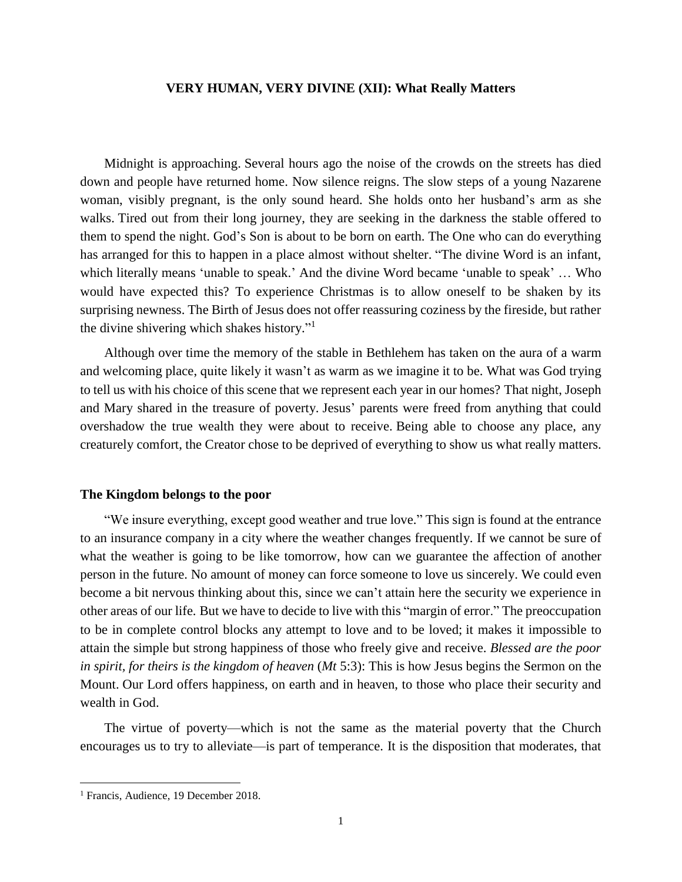## **VERY HUMAN, VERY DIVINE (XII): What Really Matters**

Midnight is approaching. Several hours ago the noise of the crowds on the streets has died down and people have returned home. Now silence reigns. The slow steps of a young Nazarene woman, visibly pregnant, is the only sound heard. She holds onto her husband's arm as she walks. Tired out from their long journey, they are seeking in the darkness the stable offered to them to spend the night. God's Son is about to be born on earth. The One who can do everything has arranged for this to happen in a place almost without shelter. "The divine Word is an infant, which literally means 'unable to speak.' And the divine Word became 'unable to speak' … Who would have expected this? To experience Christmas is to allow oneself to be shaken by its surprising newness. The Birth of Jesus does not offer reassuring coziness by the fireside, but rather the divine shivering which shakes history." 1

Although over time the memory of the stable in Bethlehem has taken on the aura of a warm and welcoming place, quite likely it wasn't as warm as we imagine it to be. What was God trying to tell us with his choice of this scene that we represent each year in our homes? That night, Joseph and Mary shared in the treasure of poverty. Jesus' parents were freed from anything that could overshadow the true wealth they were about to receive. Being able to choose any place, any creaturely comfort, the Creator chose to be deprived of everything to show us what really matters.

## **The Kingdom belongs to the poor**

"We insure everything, except good weather and true love." This sign is found at the entrance to an insurance company in a city where the weather changes frequently. If we cannot be sure of what the weather is going to be like tomorrow, how can we guarantee the affection of another person in the future. No amount of money can force someone to love us sincerely. We could even become a bit nervous thinking about this, since we can't attain here the security we experience in other areas of our life. But we have to decide to live with this "margin of error." The preoccupation to be in complete control blocks any attempt to love and to be loved; it makes it impossible to attain the simple but strong happiness of those who freely give and receive. *Blessed are the poor in spirit, for theirs is the kingdom of heaven* (*Mt* 5:3): This is how Jesus begins the Sermon on the Mount. Our Lord offers happiness, on earth and in heaven, to those who place their security and wealth in God.

The virtue of poverty—which is not the same as the material poverty that the Church encourages us to try to alleviate—is part of temperance. It is the disposition that moderates, that

<sup>&</sup>lt;sup>1</sup> Francis, Audience, 19 December 2018.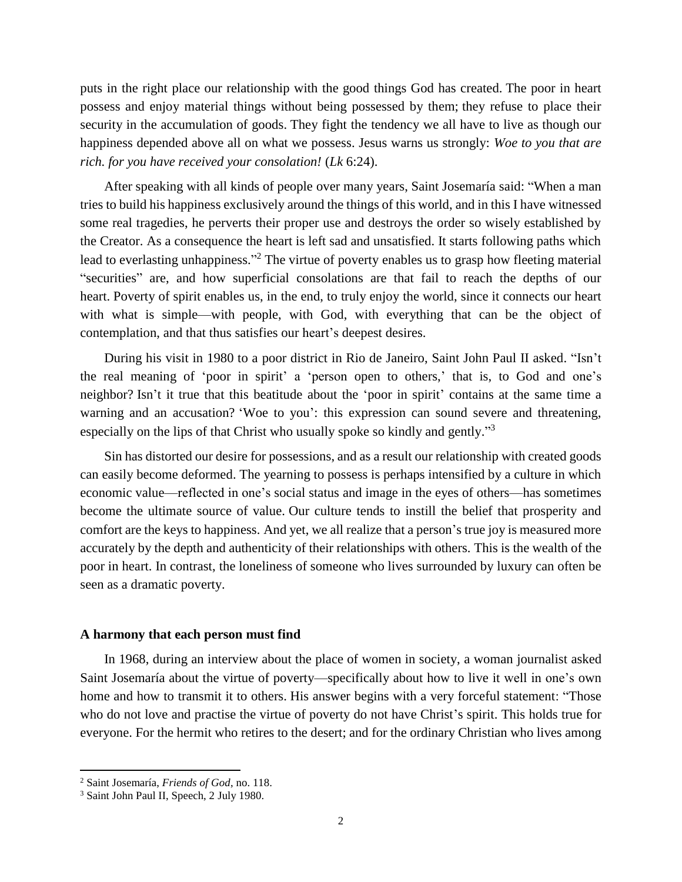puts in the right place our relationship with the good things God has created. The poor in heart possess and enjoy material things without being possessed by them; they refuse to place their security in the accumulation of goods. They fight the tendency we all have to live as though our happiness depended above all on what we possess. Jesus warns us strongly: *Woe to you that are rich. for you have received your consolation!* (*Lk* 6:24).

After speaking with all kinds of people over many years, Saint Josemaría said: "When a man tries to build his happiness exclusively around the things of this world, and in this I have witnessed some real tragedies, he perverts their proper use and destroys the order so wisely established by the Creator. As a consequence the heart is left sad and unsatisfied. It starts following paths which lead to everlasting unhappiness."<sup>2</sup> The virtue of poverty enables us to grasp how fleeting material "securities" are, and how superficial consolations are that fail to reach the depths of our heart. Poverty of spirit enables us, in the end, to truly enjoy the world, since it connects our heart with what is simple—with people, with God, with everything that can be the object of contemplation, and that thus satisfies our heart's deepest desires.

During his visit in 1980 to a poor district in Rio de Janeiro, Saint John Paul II asked. "Isn't the real meaning of 'poor in spirit' a 'person open to others,' that is, to God and one's neighbor? Isn't it true that this beatitude about the 'poor in spirit' contains at the same time a warning and an accusation? 'Woe to you': this expression can sound severe and threatening, especially on the lips of that Christ who usually spoke so kindly and gently."<sup>3</sup>

Sin has distorted our desire for possessions, and as a result our relationship with created goods can easily become deformed. The yearning to possess is perhaps intensified by a culture in which economic value—reflected in one's social status and image in the eyes of others—has sometimes become the ultimate source of value. Our culture tends to instill the belief that prosperity and comfort are the keys to happiness. And yet, we all realize that a person's true joy is measured more accurately by the depth and authenticity of their relationships with others. This is the wealth of the poor in heart. In contrast, the loneliness of someone who lives surrounded by luxury can often be seen as a dramatic poverty.

## **A harmony that each person must find**

In 1968, during an interview about the place of women in society, a woman journalist asked Saint Josemaría about the virtue of poverty—specifically about how to live it well in one's own home and how to transmit it to others. His answer begins with a very forceful statement: "Those who do not love and practise the virtue of poverty do not have Christ's spirit. This holds true for everyone. For the hermit who retires to the desert; and for the ordinary Christian who lives among

 $\overline{a}$ 

<sup>2</sup> Saint Josemaría, *Friends of God*, no. 118.

<sup>3</sup> Saint John Paul II, Speech, 2 July 1980.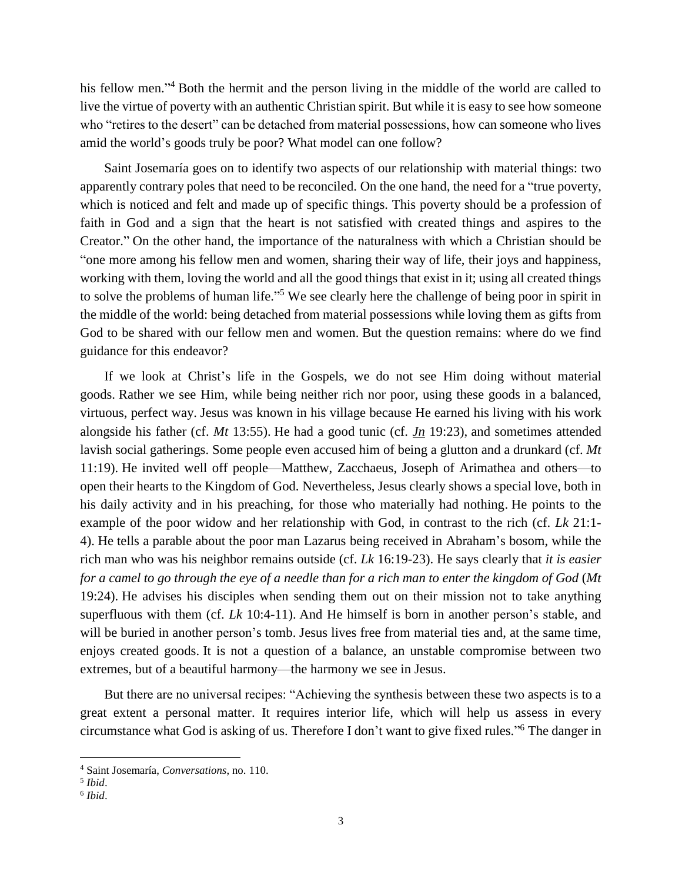his fellow men."<sup>4</sup> Both the hermit and the person living in the middle of the world are called to live the virtue of poverty with an authentic Christian spirit. But while it is easy to see how someone who "retires to the desert" can be detached from material possessions, how can someone who lives amid the world's goods truly be poor? What model can one follow?

Saint Josemaría goes on to identify two aspects of our relationship with material things: two apparently contrary poles that need to be reconciled. On the one hand, the need for a "true poverty, which is noticed and felt and made up of specific things. This poverty should be a profession of faith in God and a sign that the heart is not satisfied with created things and aspires to the Creator." On the other hand, the importance of the naturalness with which a Christian should be "one more among his fellow men and women, sharing their way of life, their joys and happiness, working with them, loving the world and all the good things that exist in it; using all created things to solve the problems of human life."<sup>5</sup> We see clearly here the challenge of being poor in spirit in the middle of the world: being detached from material possessions while loving them as gifts from God to be shared with our fellow men and women. But the question remains: where do we find guidance for this endeavor?

If we look at Christ's life in the Gospels, we do not see Him doing without material goods. Rather we see Him, while being neither rich nor poor, using these goods in a balanced, virtuous, perfect way. Jesus was known in his village because He earned his living with his work alongside his father (cf. *Mt* 13:55). He had a good tunic (cf. *Jn* 19:23), and sometimes attended lavish social gatherings. Some people even accused him of being a glutton and a drunkard (cf. *Mt* 11:19). He invited well off people—Matthew, Zacchaeus, Joseph of Arimathea and others—to open their hearts to the Kingdom of God. Nevertheless, Jesus clearly shows a special love, both in his daily activity and in his preaching, for those who materially had nothing. He points to the example of the poor widow and her relationship with God, in contrast to the rich (cf. *Lk* 21:1- 4). He tells a parable about the poor man Lazarus being received in Abraham's bosom, while the rich man who was his neighbor remains outside (cf. *Lk* 16:19-23). He says clearly that *it is easier for a camel to go through the eye of a needle than for a rich man to enter the kingdom of God* (*Mt* 19:24). He advises his disciples when sending them out on their mission not to take anything superfluous with them (cf. *Lk* 10:4-11). And He himself is born in another person's stable, and will be buried in another person's tomb. Jesus lives free from material ties and, at the same time, enjoys created goods. It is not a question of a balance, an unstable compromise between two extremes, but of a beautiful harmony—the harmony we see in Jesus.

But there are no universal recipes: "Achieving the synthesis between these two aspects is to a great extent a personal matter. It requires interior life, which will help us assess in every circumstance what God is asking of us. Therefore I don't want to give fixed rules." <sup>6</sup> The danger in

<sup>4</sup> Saint Josemaría, *Conversations*, no. 110.

<sup>5</sup> *Ibid*.

<sup>6</sup> *Ibid*.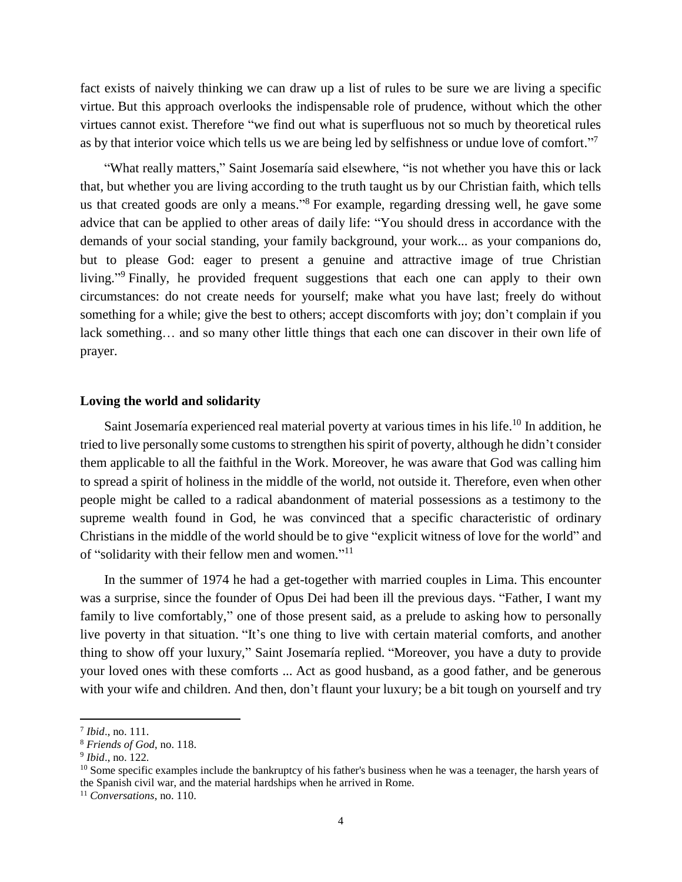fact exists of naively thinking we can draw up a list of rules to be sure we are living a specific virtue. But this approach overlooks the indispensable role of prudence, without which the other virtues cannot exist. Therefore "we find out what is superfluous not so much by theoretical rules as by that interior voice which tells us we are being led by selfishness or undue love of comfort."<sup>7</sup>

"What really matters," Saint Josemaría said elsewhere, "is not whether you have this or lack that, but whether you are living according to the truth taught us by our Christian faith, which tells us that created goods are only a means."<sup>8</sup> For example, regarding dressing well, he gave some advice that can be applied to other areas of daily life: "You should dress in accordance with the demands of your social standing, your family background, your work... as your companions do, but to please God: eager to present a genuine and attractive image of true Christian living."<sup>9</sup> Finally, he provided frequent suggestions that each one can apply to their own circumstances: do not create needs for yourself; make what you have last; freely do without something for a while; give the best to others; accept discomforts with joy; don't complain if you lack something… and so many other little things that each one can discover in their own life of prayer.

## **Loving the world and solidarity**

Saint Josemaría experienced real material poverty at various times in his life.<sup>10</sup> In addition, he tried to live personally some customs to strengthen his spirit of poverty, although he didn't consider them applicable to all the faithful in the Work. Moreover, he was aware that God was calling him to spread a spirit of holiness in the middle of the world, not outside it. Therefore, even when other people might be called to a radical abandonment of material possessions as a testimony to the supreme wealth found in God, he was convinced that a specific characteristic of ordinary Christians in the middle of the world should be to give "explicit witness of love for the world" and of "solidarity with their fellow men and women."<sup>11</sup>

In the summer of 1974 he had a get-together with married couples in Lima. This encounter was a surprise, since the founder of Opus Dei had been ill the previous days. "Father, I want my family to live comfortably," one of those present said, as a prelude to asking how to personally live poverty in that situation. "It's one thing to live with certain material comforts, and another thing to show off your luxury," Saint Josemaría replied. "Moreover, you have a duty to provide your loved ones with these comforts ... Act as good husband, as a good father, and be generous with your wife and children. And then, don't flaunt your luxury; be a bit tough on yourself and try

<sup>7</sup> *Ibid*., no. 111.

<sup>8</sup> *Friends of God*, no. 118.

<sup>9</sup> *Ibid*., no. 122.

 $10$  Some specific examples include the bankruptcy of his father's business when he was a teenager, the harsh years of the Spanish civil war, and the material hardships when he arrived in Rome.

<sup>11</sup> *Conversations*, no. 110.